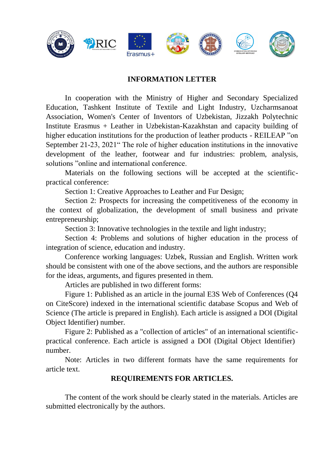

# **INFORMATION LETTER**

In cooperation with the Ministry of Higher and Secondary Specialized Education, Tashkent Institute of Textile and Light Industry, Uzcharmsanoat Association, Women's Center of Inventors of Uzbekistan, Jizzakh Polytechnic Institute Erasmus + Leather in Uzbekistan-Kazakhstan and capacity building of higher education institutions for the production of leather products - REILEAP "on September 21-23, 2021" The role of higher education institutions in the innovative development of the leather, footwear and fur industries: problem, analysis, solutions "online and international conference.

Materials on the following sections will be accepted at the scientificpractical conference:

Section 1: Creative Approaches to Leather and Fur Design;

Section 2: Prospects for increasing the competitiveness of the economy in the context of globalization, the development of small business and private entrepreneurship;

Section 3: Innovative technologies in the textile and light industry;

Section 4: Problems and solutions of higher education in the process of integration of science, education and industry.

Conference working languages: Uzbek, Russian and English. Written work should be consistent with one of the above sections, and the authors are responsible for the ideas, arguments, and figures presented in them.

Articles are published in two different forms:

Figure 1: Published as an article in the journal E3S Web of Conferences (Q4 on CiteScore) indexed in the international scientific database Scopus and Web of Science (The article is prepared in English). Each article is assigned a DOI (Digital Object Identifier) number.

Figure 2: Published as a "collection of articles" of an international scientificpractical conference. Each article is assigned a DOI (Digital Object Identifier) number.

Note: Articles in two different formats have the same requirements for article text.

# **REQUIREMENTS FOR ARTICLES.**

The content of the work should be clearly stated in the materials. Articles are submitted electronically by the authors.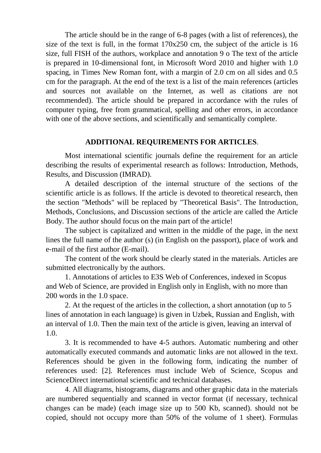The article should be in the range of 6-8 pages (with a list of references), the size of the text is full, in the format 170x250 cm, the subject of the article is 16 size, full FISH of the authors, workplace and annotation 9 o The text of the article is prepared in 10-dimensional font, in Microsoft Word 2010 and higher with 1.0 spacing, in Times New Roman font, with a margin of 2.0 cm on all sides and 0.5 cm for the paragraph. At the end of the text is a list of the main references (articles and sources not available on the Internet, as well as citations are not recommended). The article should be prepared in accordance with the rules of computer typing, free from grammatical, spelling and other errors, in accordance with one of the above sections, and scientifically and semantically complete.

# **ADDITIONAL REQUIREMENTS FOR ARTICLES**.

 Most international scientific journals define the requirement for an article describing the results of experimental research as follows: Introduction, Methods, Results, and Discussion (IMRAD).

A detailed description of the internal structure of the sections of the scientific article is as follows. If the article is devoted to theoretical research, then the section "Methods" will be replaced by "Theoretical Basis". The Introduction, Methods, Conclusions, and Discussion sections of the article are called the Article Body. The author should focus on the main part of the article!

The subject is capitalized and written in the middle of the page, in the next lines the full name of the author (s) (in English on the passport), place of work and e-mail of the first author (E-mail).

The content of the work should be clearly stated in the materials. Articles are submitted electronically by the authors.

1. Annotations of articles to E3S Web of Conferences, indexed in Scopus and Web of Science, are provided in English only in English, with no more than 200 words in the 1.0 space.

2. At the request of the articles in the collection, a short annotation (up to 5 lines of annotation in each language) is given in Uzbek, Russian and English, with an interval of 1.0. Then the main text of the article is given, leaving an interval of 1.0.

3. It is recommended to have 4-5 authors. Automatic numbering and other automatically executed commands and automatic links are not allowed in the text. References should be given in the following form, indicating the number of references used: [2]. References must include Web of Science, Scopus and ScienceDirect international scientific and technical databases.

4. All diagrams, histograms, diagrams and other graphic data in the materials are numbered sequentially and scanned in vector format (if necessary, technical changes can be made) (each image size up to 500 Kb, scanned). should not be copied, should not occupy more than 50% of the volume of 1 sheet). Formulas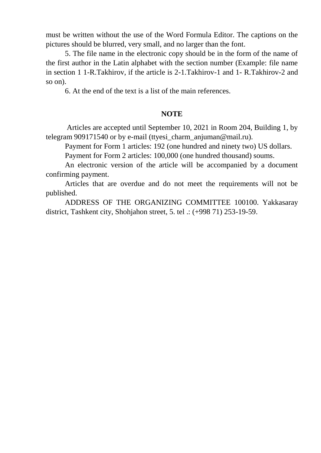must be written without the use of the Word Formula Editor. The captions on the pictures should be blurred, very small, and no larger than the font.

5. The file name in the electronic copy should be in the form of the name of the first author in the Latin alphabet with the section number (Example: file name in section 1 1-R.Takhirov, if the article is 2-1.Takhirov-1 and 1- R.Takhirov-2 and so on).

6. At the end of the text is a list of the main references.

# **NOTE**

Articles are accepted until September 10, 2021 in Room 204, Building 1, by telegram 909171540 or by e-mail (ttyesi\_charm\_anjuman@mail.ru).

Payment for Form 1 articles: 192 (one hundred and ninety two) US dollars.

Payment for Form 2 articles: 100,000 (one hundred thousand) soums.

An electronic version of the article will be accompanied by a document confirming payment.

Articles that are overdue and do not meet the requirements will not be published.

ADDRESS OF THE ORGANIZING COMMITTEE 100100. Yakkasaray district, Tashkent city, Shohjahon street, 5. tel .: (+998 71) 253-19-59.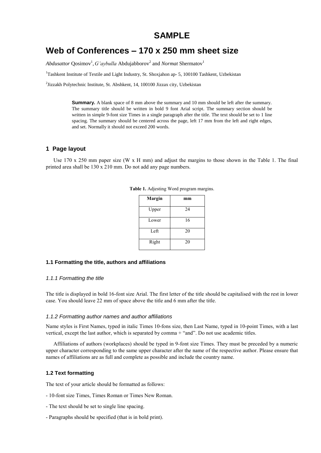# **SAMPLE**

# **Web of Conferences – 170 x 250 mm sheet size**

Abdusattor Qosimov<sup>1</sup>, *G'aybulla* Abdujabborov<sup>2</sup> and *Normat* Shermatov<sup>1</sup>

<sup>1</sup>Tashkent Institute of Textile and Light Industry, St. Shoxjahon ap- 5, 100100 Tashkent, Uzbekistan

<sup>2</sup>Jizzakh Polytechnic Institute, St. Abshkent, 14, 100100 Jizzax city, Uzbekistan

**Summary.** A blank space of 8 mm above the summary and 10 mm should be left after the summary. The summary title should be written in bold 9 font Arial script. The summary section should be written in simple 9-font size Times in a single paragraph after the title. The text should be set to 1 line spacing. The summary should be centered across the page, left 17 mm from the left and right edges, and set. Normally it should not exceed 200 words.

## **1 Page layout**

Use 170 x 250 mm paper size (W x H mm) and adjust the margins to those shown in the Table 1. The final printed area shall be 130 x 210 mm. Do not add any page numbers.

| Margin | mm |
|--------|----|
| Upper  | 24 |
| Lower  | 16 |
| Left   | 20 |
| Right  | 20 |

**Table 1.** Adjesting Word program margins.

#### **1.1 Formatting the title, authors and affiliations**

#### *1.1.1 Formatting the title*

The title is displayed in bold 16-font size Arial. The first letter of the title should be capitalised with the rest in lower case. You should leave 22 mm of space above the title and 6 mm after the title.

#### *1.1.2 Formatting author names and author affiliations*

Name styles is First Names, typed in italic Times 10-fons size, then Last Name, typed in 10-point Times, with a last vertical, except the last author, which is separated by comma + "and". Do not use academic titles.

Affiliations of authors (workplaces) should be typed in 9-font size Times. They must be preceded by a numeric upper character corresponding to the same upper character after the name of the respective author. Please ensure that names of affiliations are as full and complete as possible and include the country name.

#### **1.2 Text formatting**

The text of your article should be formatted as follows:

- 10-font size Times, Times Roman or Times New Roman.
- The text should be set to single line spacing.
- Paragraphs should be specified (that is in bold print).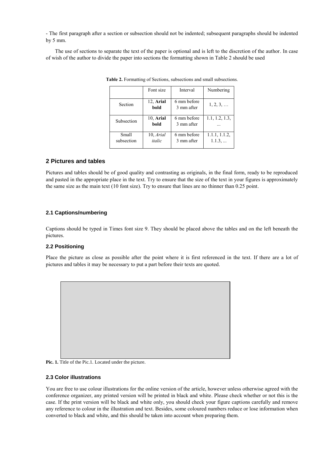- The first paragraph after a section or subsection should not be indented; subsequent paragraphs should be indented by 5 mm.

The use of sections to separate the text of the paper is optional and is left to the discretion of the author. In case of wish of the author to divide the paper into sections the formatting shown in Table 2 should be used

|                     | Font size           | Interval                  | Numbering              |
|---------------------|---------------------|---------------------------|------------------------|
| Section             | 12, Arial<br>bold   | 6 mm before<br>3 mm after | $1, 2, 3, \ldots$      |
| Subsection          | 10, Arial<br>bold   | 6 mm before<br>3 mm after | 1.1, 1.2, 1.3,         |
| Small<br>subsection | 10, Arial<br>italic | 6 mm before<br>3 mm after | 1.1.1, 1.1.2,<br>1.1.3 |

**Table 2.** Formatting of Sections, subsections and small subsections.

# **2 Pictures and tables**

Pictures and tables should be of good quality and contrasting as originals, in the final form, ready to be reproduced and pasted in the appropriate place in the text. Try to ensure that the size of the text in your figures is approximately the same size as the main text (10 font size). Try to ensure that lines are no thinner than 0.25 point.

# **2.1 Captions/numbering**

Captions should be typed in Times font size 9. They should be placed above the tables and on the left beneath the pictures.

## **2.2 Positioning**

Place the picture as close as possible after the point where it is first referenced in the text. If there are a lot of pictures and tables it may be necessary to put a part before their texts are quoted.



Pic. 1. Title of the Pic.1. Located under the picture.

#### **2.3 Color illustrations**

You are free to use colour illustrations for the online version of the article, however unless otherwise agreed with the conference organizer, any printed version will be printed in black and white. Please check whether or not this is the case. If the print version will be black and white only, you should check your figure captions carefully and remove any reference to colour in the illustration and text. Besides, some coloured numbers reduce or lose information when converted to black and white, and this should be taken into account when preparing them.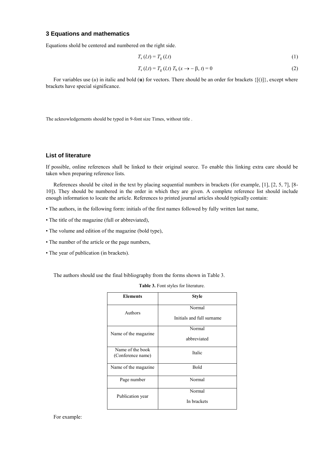## **3 Equations and mathematics**

Equations shold be centered and numbered on the right side.

$$
T_{\rm s}(l,t) = T_{\rm g}(l,t) \tag{1}
$$

$$
T_{s} (l,t) = T_{g} (l,t) T_{b} (x \to -\beta, t) = 0
$$
 (2)

For variables use  $(u)$  in italic and bold  $(u)$  for vectors. There should be an order for brackets  $\{f() \}$ , except where brackets have special significance.

The acknowledgements should be typed in 9-font size Times, without title .

#### **List of literature**

If possible, online references shall be linked to their original source. To enable this linking extra care should be taken when preparing reference lists.

References should be cited in the text by placing sequential numbers in brackets (for example, [1], [2, 5, 7], [8- 10]). They should be numbered in the order in which they are given. A complete reference list should include enough information to locate the article. References to printed journal articles should typically contain:

- The authors, in the following form: initials of the first names followed by fully written last name,
- The title of the magazine (full or abbreviated),
- The volume and edition of the magazine (bold type),
- The number of the article or the page numbers,
- The year of publication (in brackets).

The authors should use the final bibliography from the forms shown in Table 3.

| <b>Elements</b>                       | <b>Style</b>                        |
|---------------------------------------|-------------------------------------|
| Authors                               | Normal<br>Initials and full surname |
| Name of the magazine.                 | Normal<br>abbreviated               |
| Name of the book<br>(Conference name) | Italic                              |
| Name of the magazine                  | <b>Bold</b>                         |
| Page number                           | Normal                              |
| Publication year                      | Normal<br>In brackets               |

**Table 3.** Font styles for literature.

For example: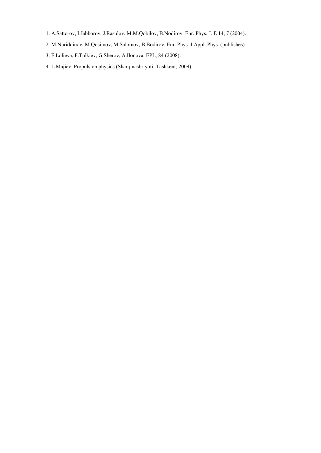- 1. A.Sattorov, I.Jabborov, J.Rasulov, M.M.Qobilov, B.Nodirov, Eur. Phys. J. E 14, 7 (2004).
- 2. M.Nuriddinov, M.Qosimov, M.Salomov, B.Bodirov, Eur. Phys. J.Appl. Phys. (publishes).
- 3. F.Lolieva, F.Tulkiev, G.Sherov, A.Ilonova, EPL, 84 (2008).
- 4. L.Majiev, Propulsion physics (Sharq nashriyoti, Tashkent, 2009).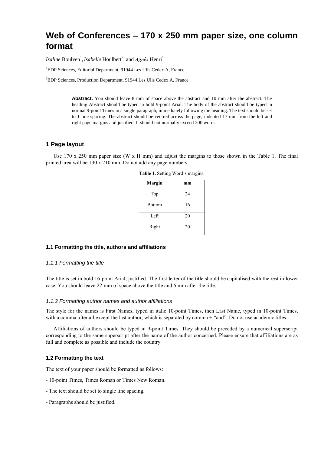# **Web of Conferences – 170 x 250 mm paper size, one column format**

*Isaline* Boulven<sup>1</sup>, *Isabelle* Houlbert<sup>2</sup>, and *Agnès* Henri<sup>1</sup>

<sup>1</sup>EDP Sciences, Editorial Department, 91944 Les Ulis Cedex A, France

 ${}^{2}$ EDP Sciences, Production Department, 91944 Les Ulis Cedex A, France

**Abstract.** You should leave 8 mm of space above the abstract and 10 mm after the abstract. The heading Abstract should be typed in bold 9-point Arial. The body of the abstract should be typed in normal 9-point Times in a single paragraph, immediately following the heading. The text should be set to 1 line spacing. The abstract should be centred across the page, indented 17 mm from the left and right page margins and justified. It should not normally exceed 200 words.

## **1 Page layout**

Use 170 x 250 mm paper size (W x H mm) and adjust the margins to those shown in the Table 1. The final printed area will be 130 x 210 mm. Do not add any page numbers.

| Margin        | mm |
|---------------|----|
| Top           | 24 |
| <b>Bottom</b> | 16 |
| Left          | 20 |
| Right         | 20 |

**Table 1.** Setting Word's margins.

#### **1.1 Formatting the title, authors and affiliations**

#### *1.1.1 Formatting the title*

The title is set in bold 16-point Arial, justified. The first letter of the title should be capitalised with the rest in lower case. You should leave 22 mm of space above the title and 6 mm after the title.

#### *1.1.2 Formatting author names and author affiliations*

The style for the names is First Names, typed in italic 10-point Times, then Last Name, typed in 10-point Times, with a comma after all except the last author, which is separated by comma + "and". Do not use academic titles.

Affiliations of authors should be typed in 9-point Times. They should be preceded by a numerical superscript corresponding to the same superscript after the name of the author concerned. Please ensure that affiliations are as full and complete as possible and include the country.

#### **1.2 Formatting the text**

The text of your paper should be formatted as follows:

- 10-point Times, Times Roman or Times New Roman.
- The text should be set to single line spacing.
- Paragraphs should be justified.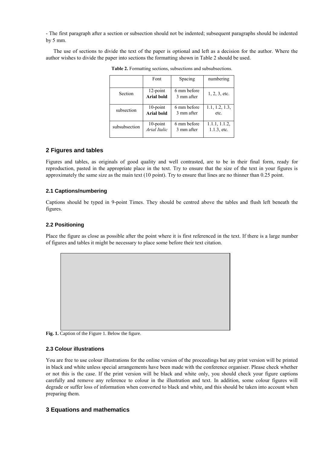- The first paragraph after a section or subsection should not be indented; subsequent paragraphs should be indented by 5 mm.

The use of sections to divide the text of the paper is optional and left as a decision for the author. Where the author wishes to divide the paper into sections the formatting shown in Table 2 should be used.

|               | Font         |             | numbering       |
|---------------|--------------|-------------|-----------------|
|               |              | Spacing     |                 |
|               | $12$ -point  | 6 mm before |                 |
| Section       |              |             | $1, 2, 3,$ etc. |
|               | Arial bold   | 3 mm after  |                 |
|               |              |             |                 |
| subsection    | $10$ -point  | 6 mm before | 1.1, 1.2, 1.3,  |
|               | Arial bold   | 3 mm after  | etc.            |
|               |              |             |                 |
| subsubsection | 10-point     | 6 mm before | 1.1.1, 1.1.2,   |
|               | Arial Italic | 3 mm after  | $1.1.3$ , etc.  |
|               |              |             |                 |

**Table 2.** Formatting sections, subsections and subsubsections.

# **2 Figures and tables**

Figures and tables, as originals of good quality and well contrasted, are to be in their final form, ready for reproduction, pasted in the appropriate place in the text. Try to ensure that the size of the text in your figures is approximately the same size as the main text (10 point). Try to ensure that lines are no thinner than 0.25 point.

## **2.1 Captions/numbering**

Captions should be typed in 9-point Times. They should be centred above the tables and flush left beneath the figures.

## **2.2 Positioning**

Place the figure as close as possible after the point where it is first referenced in the text. If there is a large number of figures and tables it might be necessary to place some before their text citation.



**Fig. 1.** Caption of the Figure 1. Below the figure.

## **2.3 Colour illustrations**

You are free to use colour illustrations for the online version of the proceedings but any print version will be printed in black and white unless special arrangements have been made with the conference organiser. Please check whether or not this is the case. If the print version will be black and white only, you should check your figure captions carefully and remove any reference to colour in the illustration and text. In addition, some colour figures will degrade or suffer loss of information when converted to black and white, and this should be taken into account when preparing them.

# **3 Equations and mathematics**